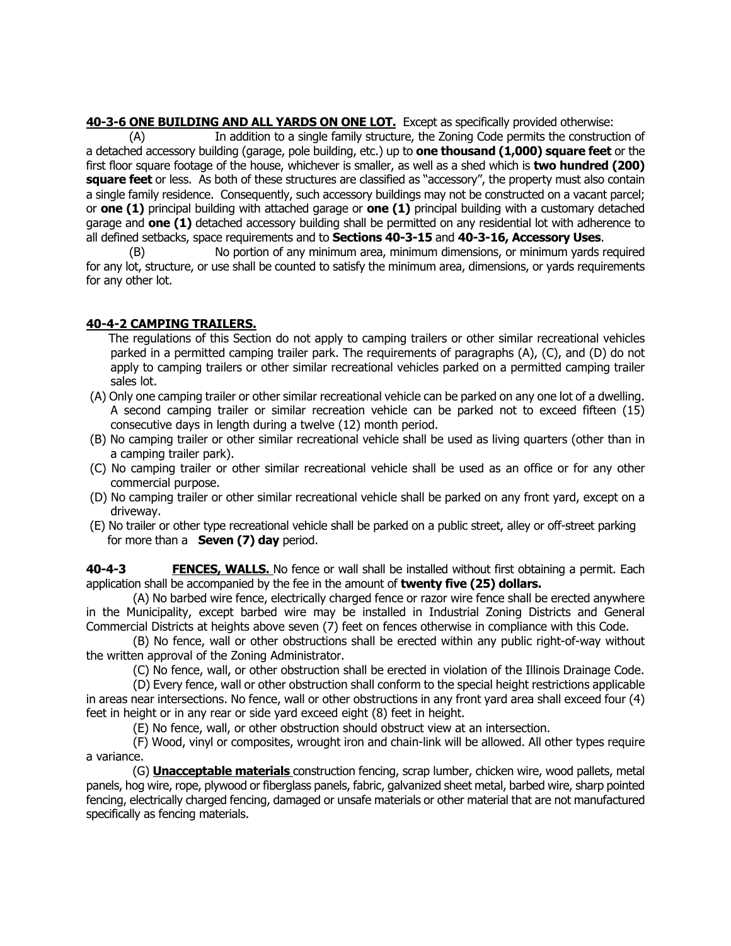**40-3-6 ONE BUILDING AND ALL YARDS ON ONE LOT.** Except as specifically provided otherwise:

(A) In addition to a single family structure, the Zoning Code permits the construction of a detached accessory building (garage, pole building, etc.) up to **one thousand (1,000) square feet** or the first floor square footage of the house, whichever is smaller, as well as a shed which is **two hundred (200) square feet** or less. As both of these structures are classified as "accessory", the property must also contain a single family residence. Consequently, such accessory buildings may not be constructed on a vacant parcel; or **one (1)** principal building with attached garage or **one (1)** principal building with a customary detached garage and **one (1)** detached accessory building shall be permitted on any residential lot with adherence to all defined setbacks, space requirements and to **Sections 40-3-15** and **40-3-16, Accessory Uses**.

(B) No portion of any minimum area, minimum dimensions, or minimum yards required for any lot, structure, or use shall be counted to satisfy the minimum area, dimensions, or yards requirements for any other lot.

## **40-4-2 CAMPING TRAILERS.**

 The regulations of this Section do not apply to camping trailers or other similar recreational vehicles parked in a permitted camping trailer park. The requirements of paragraphs (A), (C), and (D) do not apply to camping trailers or other similar recreational vehicles parked on a permitted camping trailer sales lot.

- (A) Only one camping trailer or other similar recreational vehicle can be parked on any one lot of a dwelling. A second camping trailer or similar recreation vehicle can be parked not to exceed fifteen (15) consecutive days in length during a twelve (12) month period.
- (B) No camping trailer or other similar recreational vehicle shall be used as living quarters (other than in a camping trailer park).
- (C) No camping trailer or other similar recreational vehicle shall be used as an office or for any other commercial purpose.
- (D) No camping trailer or other similar recreational vehicle shall be parked on any front yard, except on a driveway.
- (E) No trailer or other type recreational vehicle shall be parked on a public street, alley or off-street parking for more than a **Seven (7) day** period.

**40-4-3 FENCES, WALLS.** No fence or wall shall be installed without first obtaining a permit. Each application shall be accompanied by the fee in the amount of **twenty five (25) dollars.**

(A) No barbed wire fence, electrically charged fence or razor wire fence shall be erected anywhere in the Municipality, except barbed wire may be installed in Industrial Zoning Districts and General Commercial Districts at heights above seven (7) feet on fences otherwise in compliance with this Code.

(B) No fence, wall or other obstructions shall be erected within any public right-of-way without the written approval of the Zoning Administrator.

(C) No fence, wall, or other obstruction shall be erected in violation of the Illinois Drainage Code.

(D) Every fence, wall or other obstruction shall conform to the special height restrictions applicable in areas near intersections. No fence, wall or other obstructions in any front yard area shall exceed four (4) feet in height or in any rear or side yard exceed eight (8) feet in height.

(E) No fence, wall, or other obstruction should obstruct view at an intersection.

(F) Wood, vinyl or composites, wrought iron and chain-link will be allowed. All other types require a variance.

(G) **Unacceptable materials** construction fencing, scrap lumber, chicken wire, wood pallets, metal panels, hog wire, rope, plywood or fiberglass panels, fabric, galvanized sheet metal, barbed wire, sharp pointed fencing, electrically charged fencing, damaged or unsafe materials or other material that are not manufactured specifically as fencing materials.